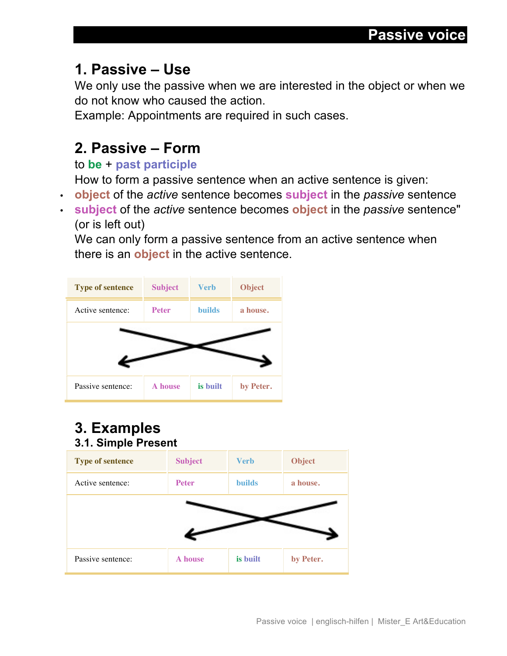# **1. Passive – Use**

We only use the passive when we are interested in the object or when we do not know who caused the action.

Example: Appointments are required in such cases.

# **2. Passive – Form**

### to **be** + **past participle**

How to form a passive sentence when an active sentence is given:

- **object** of the *active* sentence becomes **subject** in the *passive* sentence
- **subject** of the *active* sentence becomes **object** in the *passive* sentence" (or is left out)

We can only form a passive sentence from an active sentence when there is an **object** in the active sentence.



## **3. Examples 3.1. Simple Present**

| <b>Type of sentence</b> | <b>Subject</b> | <b>Verb</b>   | <b>Object</b> |
|-------------------------|----------------|---------------|---------------|
| Active sentence:        | <b>Peter</b>   | <b>builds</b> | a house.      |
|                         |                |               |               |
|                         |                |               |               |
| Passive sentence:       | A house        | is built      | by Peter.     |